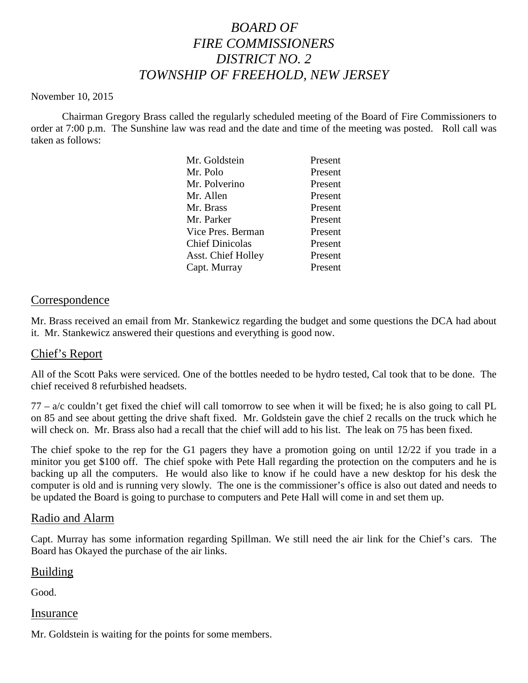# *BOARD OF FIRE COMMISSIONERS DISTRICT NO. 2 TOWNSHIP OF FREEHOLD, NEW JERSEY*

#### November 10, 2015

Chairman Gregory Brass called the regularly scheduled meeting of the Board of Fire Commissioners to order at 7:00 p.m. The Sunshine law was read and the date and time of the meeting was posted. Roll call was taken as follows:

| Mr. Goldstein             | Present |
|---------------------------|---------|
| Mr. Polo                  | Present |
| Mr. Polverino             | Present |
| Mr. Allen                 | Present |
| Mr. Brass                 | Present |
| Mr. Parker                | Present |
| Vice Pres. Berman         | Present |
| <b>Chief Dinicolas</b>    | Present |
| <b>Asst. Chief Holley</b> | Present |
| Capt. Murray              | Present |
|                           |         |

## Correspondence

Mr. Brass received an email from Mr. Stankewicz regarding the budget and some questions the DCA had about it. Mr. Stankewicz answered their questions and everything is good now.

### Chief's Report

All of the Scott Paks were serviced. One of the bottles needed to be hydro tested, Cal took that to be done. The chief received 8 refurbished headsets.

 $77 - a/c$  couldn't get fixed the chief will call tomorrow to see when it will be fixed; he is also going to call PL on 85 and see about getting the drive shaft fixed. Mr. Goldstein gave the chief 2 recalls on the truck which he will check on. Mr. Brass also had a recall that the chief will add to his list. The leak on 75 has been fixed.

The chief spoke to the rep for the G1 pagers they have a promotion going on until 12/22 if you trade in a minitor you get \$100 off. The chief spoke with Pete Hall regarding the protection on the computers and he is backing up all the computers. He would also like to know if he could have a new desktop for his desk the computer is old and is running very slowly. The one is the commissioner's office is also out dated and needs to be updated the Board is going to purchase to computers and Pete Hall will come in and set them up.

### Radio and Alarm

Capt. Murray has some information regarding Spillman. We still need the air link for the Chief's cars. The Board has Okayed the purchase of the air links.

### Building

Good.

### Insurance

Mr. Goldstein is waiting for the points for some members.